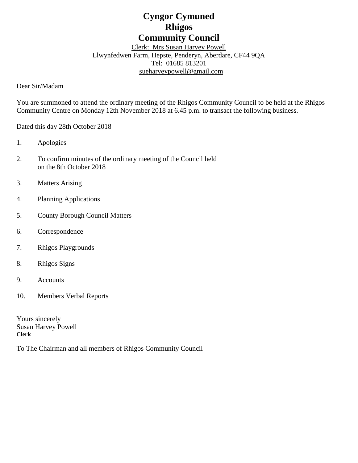# **Cyngor Cymuned Rhigos Community Council**

Clerk: Mrs Susan Harvey Powell Llwynfedwen Farm, Hepste, Penderyn, Aberdare, CF44 9QA Tel: 01685 813201 [sueharveypowell@g](mailto:sharveypowell@comin-infants.co.uk)mail.com

Dear Sir/Madam

You are summoned to attend the ordinary meeting of the Rhigos Community Council to be held at the Rhigos Community Centre on Monday 12th November 2018 at 6.45 p.m. to transact the following business.

Dated this day 28th October 2018

- 1. Apologies
- 2. To confirm minutes of the ordinary meeting of the Council held on the 8th October 2018
- 3. Matters Arising
- 4. Planning Applications
- 5. County Borough Council Matters
- 6. Correspondence
- 7. Rhigos Playgrounds
- 8. Rhigos Signs
- 9. Accounts
- 10. Members Verbal Reports

Yours sincerely Susan Harvey Powell **Clerk**

To The Chairman and all members of Rhigos Community Council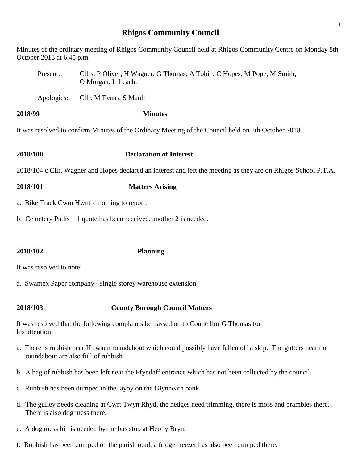# **Rhigos Community Council**

1

Minutes of the ordinary meeting of Rhigos Community Council held at Rhigos Community Centre on Monday 8th October 2018 at 6.45 p.m.

Present: Cllrs. P Oliver, H Wagner, G Thomas, A Tobin, C Hopes, M Pope, M Smith, O Morgan, L Leach.

Apologies: Cllr. M Evans, S Maull

### **2018/99 Minutes**

It was resolved to confirm Minutes of the Ordinary Meeting of the Council held on 8th October 2018

**2018/100 Declaration of Interest**

2018/104 c Cllr. Wagner and Hopes declared an interest and left the meeting as they are on Rhigos School P.T.A.

- **2018/101 Matters Arising**
- a. Bike Track Cwm Hwnt nothing to report.
- b. Cemetery Paths 1 quote has been received, another 2 is needed.

# **2018/102 Planning**

It was resolved to note:

a. Swantex Paper company - single storey warehouse extension

# **2018/103 County Borough Council Matters**

It was resolved that the following complaints be passed on to Councillor G Thomas for his attention.

- a. There is rubbish near Hirwaun roundabout which could possibly have fallen off a skip. The gutters near the roundabout are also full of rubbish.
- b. A bag of rubbish has been left near the Ffyndaff entrance which has not been collected by the council.
- c. Rubbish has been dumped in the layby on the Glynneath bank.
- d. The gulley needs cleaning at Cwrt Twyn Rhyd, the hedges need trimming, there is moss and brambles there. There is also dog mess there.
- e. A dog mess bin is needed by the bus stop at Heol y Bryn.
- f. Rubbish has been dumped on the parish road, a fridge freezer has also been dumped there.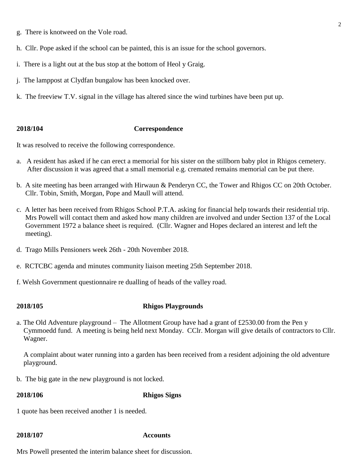- g. There is knotweed on the Vole road.
- h. Cllr. Pope asked if the school can be painted, this is an issue for the school governors.
- i. There is a light out at the bus stop at the bottom of Heol y Graig.
- j. The lamppost at Clydfan bungalow has been knocked over.
- k. The freeview T.V. signal in the village has altered since the wind turbines have been put up.

# **2018/104 Correspondence**

It was resolved to receive the following correspondence.

- a. A resident has asked if he can erect a memorial for his sister on the stillborn baby plot in Rhigos cemetery. After discussion it was agreed that a small memorial e.g. cremated remains memorial can be put there.
- b. A site meeting has been arranged with Hirwaun & Penderyn CC, the Tower and Rhigos CC on 20th October. Cllr. Tobin, Smith, Morgan, Pope and Maull will attend.
- c. A letter has been received from Rhigos School P.T.A. asking for financial help towards their residential trip. Mrs Powell will contact them and asked how many children are involved and under Section 137 of the Local Government 1972 a balance sheet is required. (Cllr. Wagner and Hopes declared an interest and left the meeting).
- d. Trago Mills Pensioners week 26th 20th November 2018.
- e. RCTCBC agenda and minutes community liaison meeting 25th September 2018.
- f. Welsh Government questionnaire re dualling of heads of the valley road.

### **2018/105 Rhigos Playgrounds**

a. The Old Adventure playground – The Allotment Group have had a grant of £2530.00 from the Pen y Cymmoedd fund. A meeting is being held next Monday. CClr. Morgan will give details of contractors to Cllr. Wagner.

 A complaint about water running into a garden has been received from a resident adjoining the old adventure playground.

b. The big gate in the new playground is not locked.

### **2018/106 Rhigos Signs**

1 quote has been received another 1 is needed.

### **2018/107 Accounts**

Mrs Powell presented the interim balance sheet for discussion.